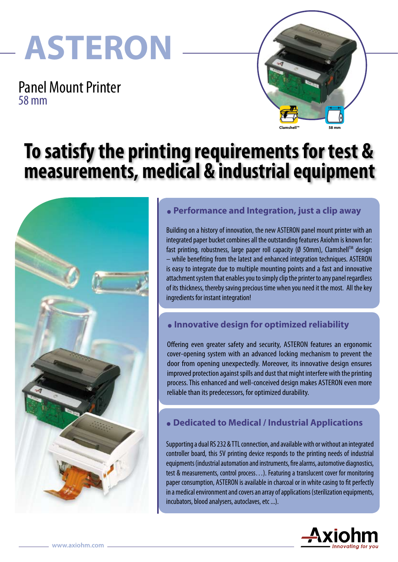# **ASTERON**

Panel Mount Printer 58 mm



## **To satisfy the printing requirements for test & measurements, medical & industrial equipment**



### **. Performance and Integration, just a clip away**

Building on a history of innovation, the new ASTERON panel mount printer with an integrated paper bucket combines all the outstanding features Axiohm is known for: fast printing, robustness, large paper roll capacity (Ø 50mm), Clamshell™ design – while benefiting from the latest and enhanced integration techniques. ASTERON is easy to integrate due to multiple mounting points and a fast and innovative attachment system that enables you to simply clip the printer to any panel regardless of its thickness, thereby saving precious time when you need it the most. All the key ingredients for instant integration!

### **. Innovative design for optimized reliability**

Offering even greater safety and security, ASTERON features an ergonomic cover-opening system with an advanced locking mechanism to prevent the door from opening unexpectedly. Moreover, its innovative design ensures improved protection against spills and dust that might interfere with the printing process. This enhanced and well-conceived design makes ASTERON even more reliable than its predecessors, for optimized durability.

### **. Dedicated to Medical / Industrial Applications**

Supporting a dual RS 232 & TTL connection, and available with or without an integrated controller board, this 5V printing device responds to the printing needs of industrial equipments (industrial automation and instruments, fire alarms, automotive diagnostics, test & measurements, control process…). Featuring a translucent cover for monitoring paper consumption, ASTERON is available in charcoal or in white casing to fit perfectly in a medical environment and covers an array of applications (sterilization equipments, incubators, blood analysers, autoclaves, etc ...).